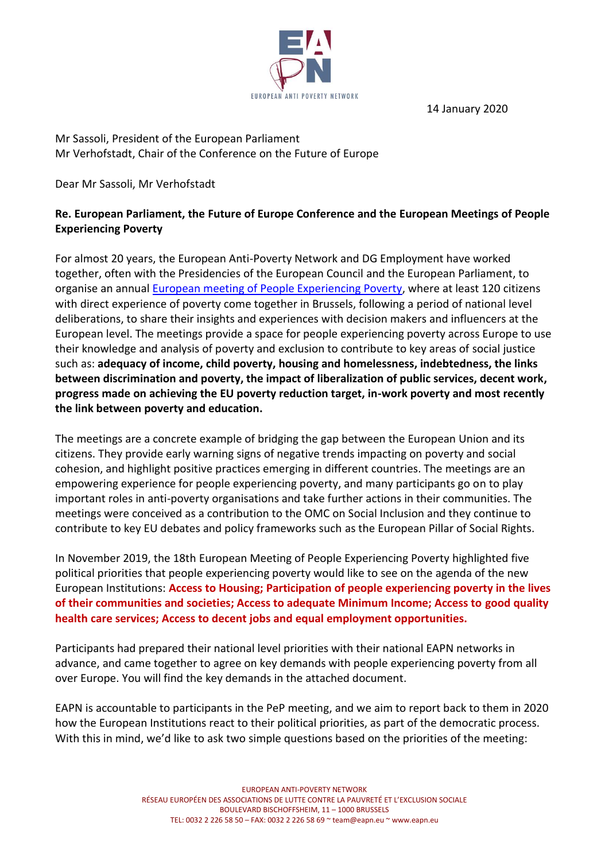14 January 2020



Mr Sassoli, President of the European Parliament Mr Verhofstadt, Chair of the Conference on the Future of Europe

Dear Mr Sassoli, Mr Verhofstadt

## **Re. European Parliament, the Future of Europe Conference and the European Meetings of People Experiencing Poverty**

For almost 20 years, the European Anti-Poverty Network and DG Employment have worked together, often with the Presidencies of the European Council and the European Parliament, to organise an annual [European meeting of People Experiencing Poverty,](https://www.eapn.eu/voices-of-poverty/) where at least 120 citizens with direct experience of poverty come together in Brussels, following a period of national level deliberations, to share their insights and experiences with decision makers and influencers at the European level. The meetings provide a space for people experiencing poverty across Europe to use their knowledge and analysis of poverty and exclusion to contribute to key areas of social justice such as: **adequacy of income, child poverty, housing and homelessness, indebtedness, the links between discrimination and poverty, the impact of liberalization of public services, decent work, progress made on achieving the EU poverty reduction target, in-work poverty and most recently the link between poverty and education.**

The meetings are a concrete example of bridging the gap between the European Union and its citizens. They provide early warning signs of negative trends impacting on poverty and social cohesion, and highlight positive practices emerging in different countries. The meetings are an empowering experience for people experiencing poverty, and many participants go on to play important roles in anti-poverty organisations and take further actions in their communities. The meetings were conceived as a contribution to the OMC on Social Inclusion and they continue to contribute to key EU debates and policy frameworks such as the European Pillar of Social Rights.

In November 2019, the 18th European Meeting of People Experiencing Poverty highlighted five political priorities that people experiencing poverty would like to see on the agenda of the new European Institutions: **Access to Housing; Participation of people experiencing poverty in the lives of their communities and societies; Access to adequate Minimum Income; Access to good quality health care services; Access to decent jobs and equal employment opportunities.**

Participants had prepared their national level priorities with their national EAPN networks in advance, and came together to agree on key demands with people experiencing poverty from all over Europe. You will find the key demands in the attached document.

EAPN is accountable to participants in the PeP meeting, and we aim to report back to them in 2020 how the European Institutions react to their political priorities, as part of the democratic process. With this in mind, we'd like to ask two simple questions based on the priorities of the meeting: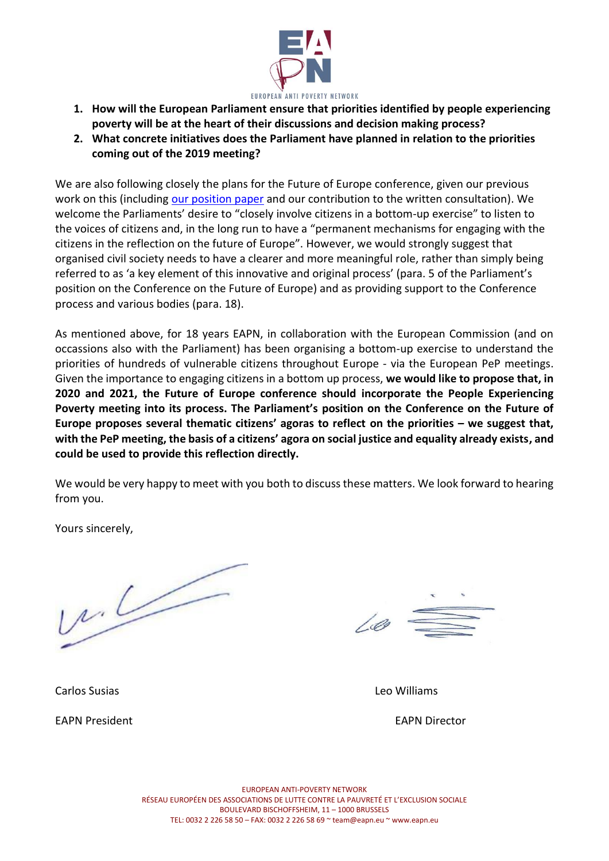

- **1. How will the European Parliament ensure that priorities identified by people experiencing poverty will be at the heart of their discussions and decision making process?**
- **2. What concrete initiatives does the Parliament have planned in relation to the priorities coming out of the 2019 meeting?**

We are also following closely the plans for the Future of Europe conference, given our previous work on this (including [our position paper](https://www.eapn.eu/wp-content/uploads/2018/08/EAPN-2018-EAPN-Position-on-Future-of-Europe-Electronic.pdf) and our contribution to the written consultation). We welcome the Parliaments' desire to "closely involve citizens in a bottom-up exercise" to listen to the voices of citizens and, in the long run to have a "permanent mechanisms for engaging with the citizens in the reflection on the future of Europe". However, we would strongly suggest that organised civil society needs to have a clearer and more meaningful role, rather than simply being referred to as 'a key element of this innovative and original process' (para. 5 of the Parliament's position on the Conference on the Future of Europe) and as providing support to the Conference process and various bodies (para. 18).

As mentioned above, for 18 years EAPN, in collaboration with the European Commission (and on occassions also with the Parliament) has been organising a bottom-up exercise to understand the priorities of hundreds of vulnerable citizens throughout Europe - via the European PeP meetings. Given the importance to engaging citizens in a bottom up process, **we would like to propose that, in 2020 and 2021, the Future of Europe conference should incorporate the People Experiencing Poverty meeting into its process. The Parliament's position on the Conference on the Future of Europe proposes several thematic citizens' agoras to reflect on the priorities – we suggest that, with the PeP meeting, the basis of a citizens' agora on social justice and equality already exists, and could be used to provide this reflection directly.** 

We would be very happy to meet with you both to discuss these matters. We look forward to hearing from you.

Yours sincerely,

 $uL$ 

100

Carlos Susias Leo Williams

EAPN President EAPN Director